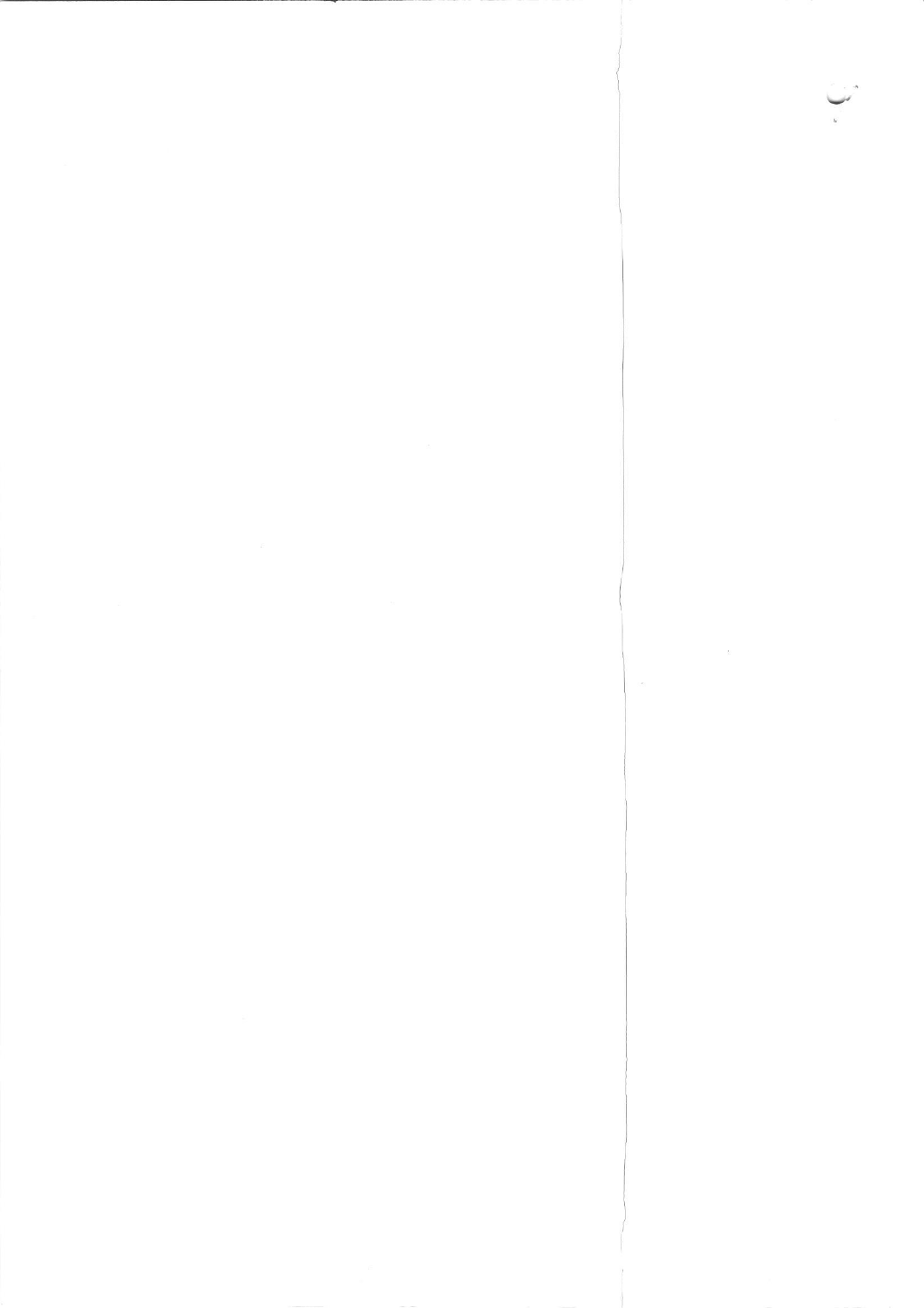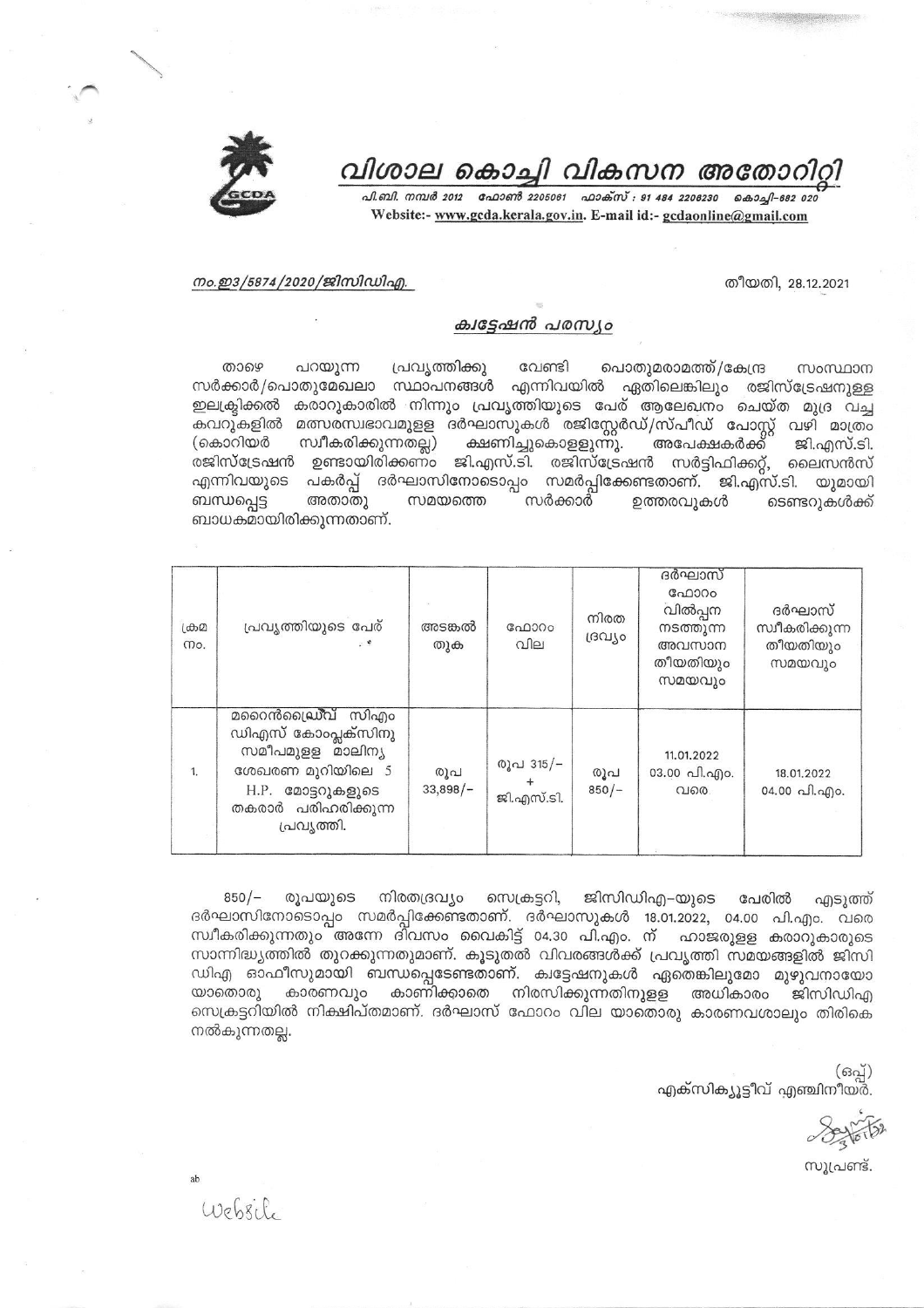

## വിശാല കൊച്ചി വികസന അതോറിറ്റി

പി.ബി. നമ്പർ 2012 - ഫോൺ 2205061 - ഫാക്സ് : 91 484 2206230 - കൊചി–682 020 Website:- www.gcda.kerala.gov.in. E-mail id:- gcdaonline@gmail.com

#### നം.ഇ3/5874/2020/ജിസിഡിഎ.

തീയതി, 28.12.2021

#### ക്വട്ടേഷൻ പരസ്യം

ைഴെ പറയുന്ന പ്രവൃത്തിക്കു വേണ്ടി പൊതുമരാമത്ത്/കേന്ദ്ര സംസ്ഥാന സർക്കാർ/പൊതുമേഖലാ സ്ഥാപനങ്ങൾ എന്നിവയിൽ ഏതിലെങ്കിലും രജിസ്ട്രേഷനുള്ള ഇലക്രിക്കൽ കരാറുകാരിൽ നിന്നും പ്രവൃത്തിയുടെ പേര് ആലേഖനം ചെയ്ത മുദ്ര വച്ച സ്വീകരിക്കുന്നതല്ല) (കൊറിയർ ക്ഷണിച്ചുകൊളളുന്നു. അപേക്ഷകർക്ക് ജി.എസ്.ടി. രജിസ്ട്രേഷൻ ഉണ്ടായിരിക്കണം ജി.എസ്.ടി. രജിസ്ട്രേഷൻ സർട്ടിഫിക്കറ്റ്, ലൈസൻസ് എന്നിവയുടെ പകർപ്പ് ദർഘാസിനോടൊപ്പം സമർപ്പിക്കേണ്ടതാണ്. ജി.എസ്.ടി. യുമായി അതാതു സമയത്തെ സർക്കാർ ബന്ധപ്പെട്ട ഉത്തരവുകൾ ടെണ്ടറുകൾക്ക് ബാധകമായിരിക്കുന്നതാണ്.

| ക്രമ<br>mo. | പ്രവ്യത്തിയുടെ പേര്                                                                                                                        | അടങ്കൽ<br>തുക     | ഫോറം<br>വില             | നിരത<br>ദ്രവീം | ദർഘാസ്<br>ഫോറം<br>വിൽപ്പന<br>നടത്തുന്ന<br>അവസാന<br>തീയതിയും<br>സമയവും | ദർഘാസ്<br>സ്വീകരിക്കുന്ന<br>തീയതിയും<br>സമയവും |
|-------------|--------------------------------------------------------------------------------------------------------------------------------------------|-------------------|-------------------------|----------------|-----------------------------------------------------------------------|------------------------------------------------|
| 1.          | മറൈൻല്രൈസ്പ് സിഎം<br>ഡിഎസ് കോംപ്ലക്സിനു<br>സമീപമുളള മാലിന്യ<br>ശേഖരണ മുറിയിലെ 5<br>H.P. മോട്ടറുകളുടെ<br>തകരാർ പരിഹരിക്കുന്ന<br>പ്രവ്യത്തി. | രൂപ<br>$33,898/-$ | രൂപ 315/–<br>ജി.എസ്.ടി. | രൂപ<br>$850/-$ | 11.01.2022<br>03.00 வி.வு)o.<br>വരെ                                   | 18.01.2022<br>$04.00$ all. ano.                |

രൂപയുടെ നിരതദ്രവ്യം സെക്രട്ടറി, ജിസിഡിഎ–യുടെ  $850/-$ പേരിൽ എടുത്ത് ദർഘാസിനോടൊപ്പം സമർപ്പിക്കേണ്ടതാണ്. ദർഘാസുകൾ 18.01.2022, 04.00 പി.എം. വരെ സ്ഥീകരിക്കുന്നതും അന്നേ ദിവസം വൈകിട്ട് 04.30 പി.എം. ന് ഹാജരുള്ള കരാറുകാരുടെ സാന്നിദ്ധ്യത്തിൽ തുറക്കുന്നതുമാണ്. കൂടുതൽ വിവരങ്ങൾക്ക് പ്രവൃത്തി സമയങ്ങളിൽ ജിസി ഡിഎ ഓഫീസുമായി ബന്ധപ്പെടേണ്ടതാണ്. ക്വട്ടേഷനുകൾ ഏതെങ്കിലുമോ മുഴുവനായോ യാതൊരു കാരണവും കാണിക്കാതെ നിരസിക്കുന്നതിനുളള അധികാരം ജിസിഡിഎ സെക്രട്ടറിയിൽ നിക്ഷിപ്തമാണ്. ദർഘാസ് ഫോറം വില യാതൊരു കാരണവശാലും തിരികെ നൽകുന്നതല്ല.

(ഒപ്പ്) എക്സിക്യൂട്ടീവ് എഞ്ചിനീയർ.

സൂപ്രണ്ട്.

Website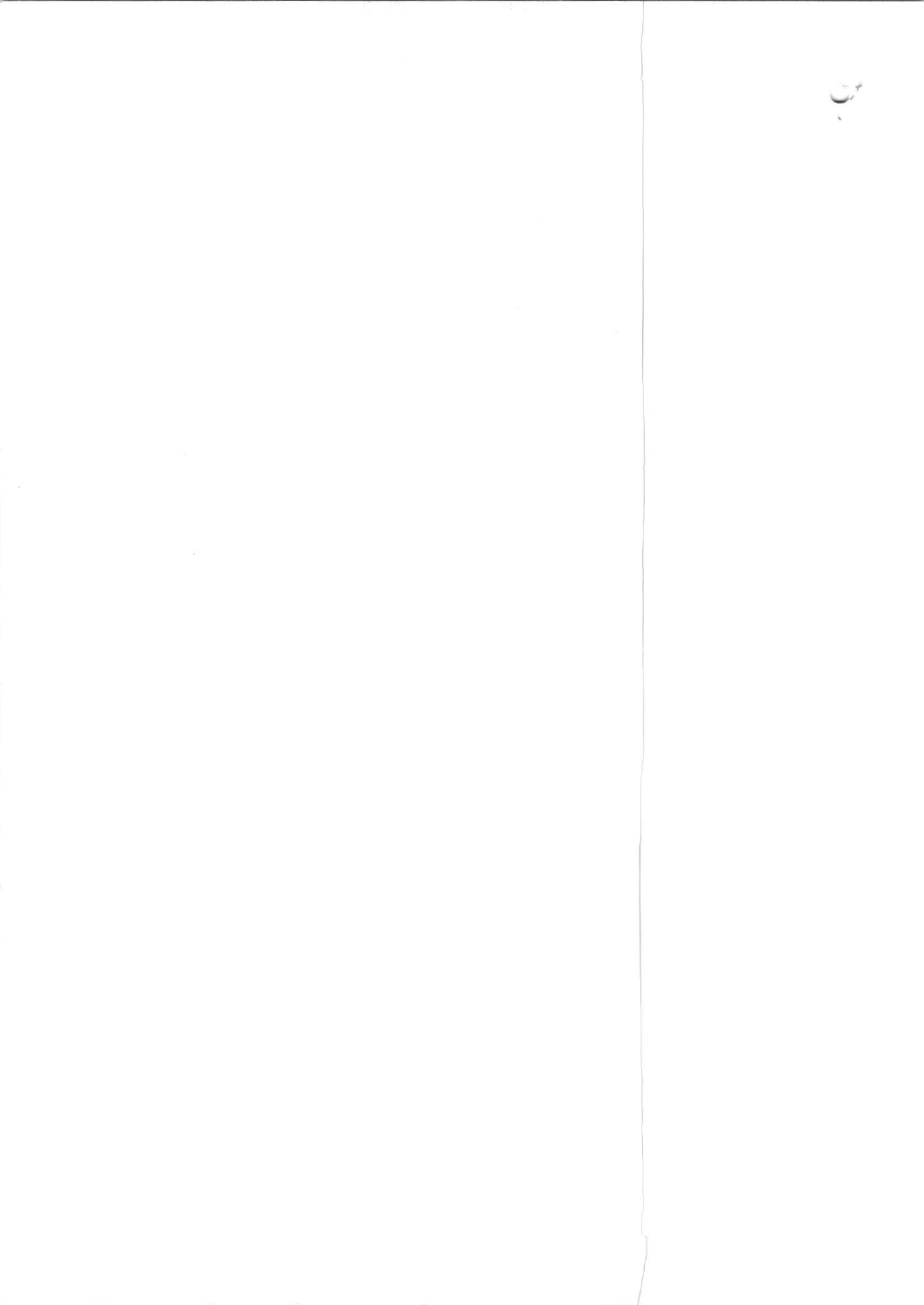